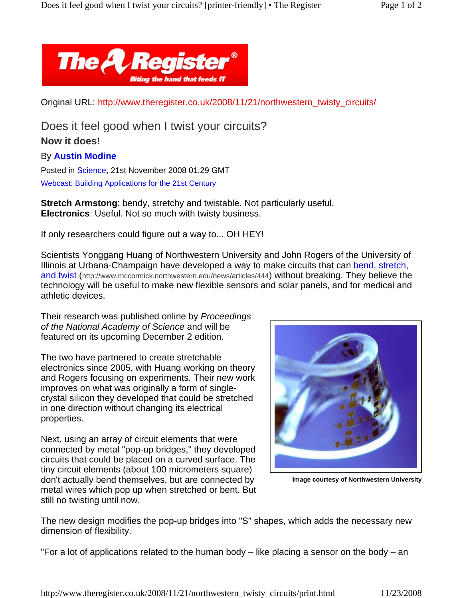

Original URL: http://www.theregister.co.uk/2008/11/21/northwestern\_twisty\_circuits/

Does it feel good when I twist your circuits?

## **Now it does!**

## By **Austin Modine**

Posted in Science, 21st November 2008 01:29 GMT Webcast: Building Applications for the 21st Century

**Stretch Armstong**: bendy, stretchy and twistable. Not particularly useful. **Electronics**: Useful. Not so much with twisty business.

If only researchers could figure out a way to... OH HEY!

Scientists Yonggang Huang of Northwestern University and John Rogers of the University of Illinois at Urbana-Champaign have developed a way to make circuits that can bend, stretch, and twist (http://www.mccormick.northwestern.edu/news/articles/444) without breaking. They believe the technology will be useful to make new flexible sensors and solar panels, and for medical and athletic devices.

Their research was published online by *Proceedings of the National Academy of Science* and will be featured on its upcoming December 2 edition.

The two have partnered to create stretchable electronics since 2005, with Huang working on theory and Rogers focusing on experiments. Their new work improves on what was originally a form of singlecrystal silicon they developed that could be stretched in one direction without changing its electrical properties.

Next, using an array of circuit elements that were connected by metal "pop-up bridges," they developed circuits that could be placed on a curved surface. The tiny circuit elements (about 100 micrometers square) don't actually bend themselves, but are connected by metal wires which pop up when stretched or bent. But still no twisting until now.



**Image courtesy of Northwestern University**

The new design modifies the pop-up bridges into "S" shapes, which adds the necessary new dimension of flexibility.

"For a lot of applications related to the human body – like placing a sensor on the body – an

http://www.theregister.co.uk/2008/11/21/northwestern\_twisty\_circuits/print.html 11/23/2008